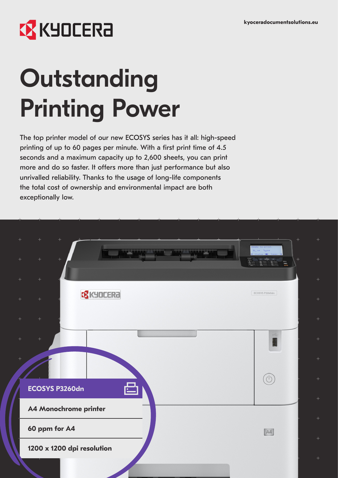# **EX KYOCERA**

# **Outstanding** Printing Power

The top printer model of our new ECOSYS series has it all: high-speed printing of up to 60 pages per minute. With a first print time of 4.5 seconds and a maximum capacity up to 2,600 sheets, you can print more and do so faster. It offers more than just performance but also unrivalled reliability. Thanks to the usage of long-life components the total cost of ownership and environmental impact are both exceptionally low.